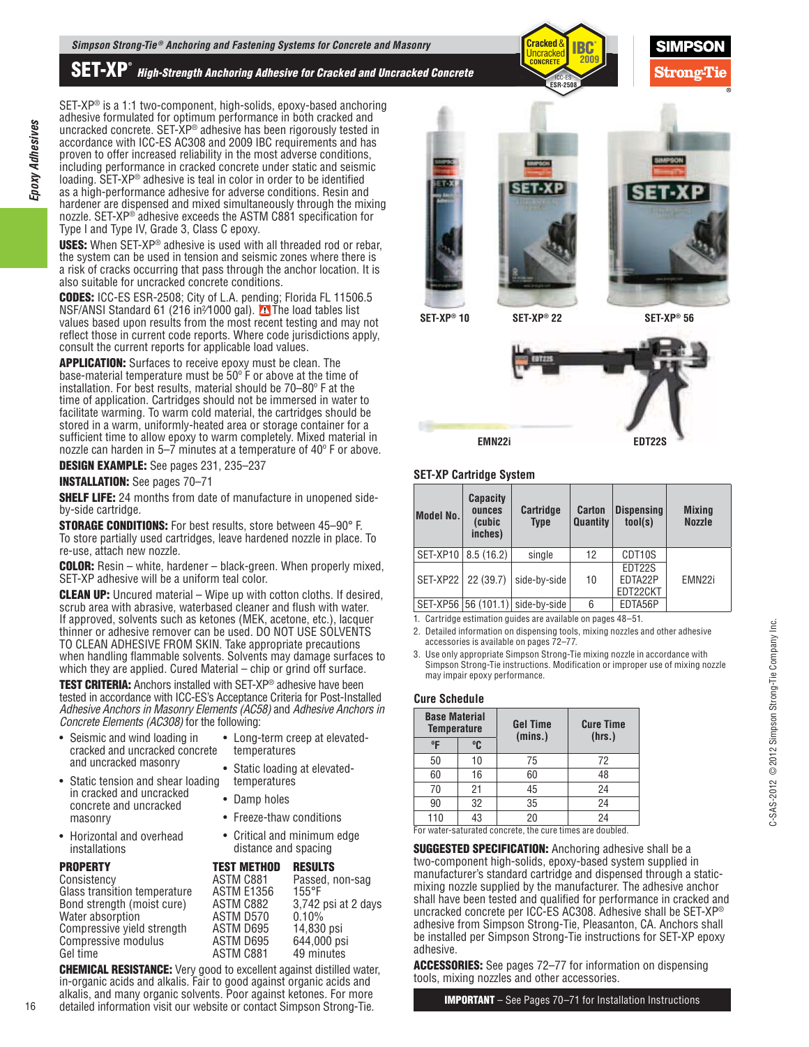**SET-XP®** *High-Strength Anchoring Adhesive for Cracked and Uncracked Concrete*



SET-XP® is a 1:1 two-component, high-solids, epoxy-based anchoring adhesive formulated for optimum performance in both cracked and uncracked concrete. SET-XP® adhesive has been rigorously tested in accordance with ICC-ES AC308 and 2009 IBC requirements and has proven to offer increased reliability in the most adverse conditions, including performance in cracked concrete under static and seismic loading. SET-XP® adhesive is teal in color in order to be identified as a high-performance adhesive for adverse conditions. Resin and hardener are dispensed and mixed simultaneously through the mixing nozzle. SET-XP<sup>®</sup> adhesive exceeds the ASTM C881 specification for Type I and Type IV, Grade 3, Class C epoxy.

**USES:** When SET-XP® adhesive is used with all threaded rod or rebar, the system can be used in tension and seismic zones where there is a risk of cracks occurring that pass through the anchor location. It is also suitable for uncracked concrete conditions.

**CODES:** ICC-ES ESR-2508; City of L.A. pending; Florida FL 11506.5 NSF/ANSI Standard 61 (216 in<sup>2</sup>/1000 gal). **A** The load tables list values based upon results from the most recent testing and may not reflect those in current code reports. Where code jurisdictions apply, consult the current reports for applicable load values.

**APPLICATION:** Surfaces to receive epoxy must be clean. The base-material temperature must be 50º F or above at the time of installation. For best results, material should be 70–80º F at the time of application. Cartridges should not be immersed in water to facilitate warming. To warm cold material, the cartridges should be stored in a warm, uniformly-heated area or storage container for a sufficient time to allow epoxy to warm completely. Mixed material in nozzle can harden in 5–7 minutes at a temperature of 40° F or above.

**DESIGN EXAMPLE:** See pages 231, 235–237

**INSTALLATION:** See pages 70–71

*Epoxy Adhesives*

Epoxy Adhesives

**SHELF LIFE:** 24 months from date of manufacture in unopened sideby-side cartridge.

**STORAGE CONDITIONS:** For best results, store between 45–90° F. To store partially used cartridges, leave hardened nozzle in place. To re-use, attach new nozzle.

**COLOR:** Resin – white, hardener – black-green. When properly mixed, SET-XP adhesive will be a uniform teal color.

**CLEAN UP:** Uncured material – Wipe up with cotton cloths. If desired, scrub area with abrasive, waterbased cleaner and flush with water. If approved, solvents such as ketones (MEK, acetone, etc.), lacquer thinner or adhesive remover can be used. DO NOT USE SOLVENTS TO CLEAN ADHESIVE FROM SKIN. Take appropriate precautions when handling flammable solvents. Solvents may damage surfaces to which they are applied. Cured Material – chip or grind off surface.

**TEST CRITERIA:** Anchors installed with SET-XP® adhesive have been tested in accordance with ICC-ES's Acceptance Criteria for Post-Installed Adhesive Anchors in Masonry Elements (AC58) and Adhesive Anchors in Concrete Elements (AC308) for the following:

> temperatures • Damp holes

• Freeze-thaw conditions • Critical and minimum edge distance and spacing

| • Seismic and wind loading in<br>cracked and uncracked concrete | • Long-term creep at elevat<br>temperatures |
|-----------------------------------------------------------------|---------------------------------------------|
| and uncracked masonry                                           | • Static loading at elevated-               |

- Static tension and shear loading in cracked and uncracked concrete and uncracked masonry
- Horizontal and overhead installations

| <b>RESULTS</b>                                                                                                        |
|-----------------------------------------------------------------------------------------------------------------------|
| Passed, non-sag                                                                                                       |
| $155^{\circ}$ F                                                                                                       |
| 3,742 psi at 2 days                                                                                                   |
| 0.10%                                                                                                                 |
| 14,830 psi                                                                                                            |
| 644,000 psi                                                                                                           |
| 49 minutes                                                                                                            |
| <b>TEST METHOD</b><br>ASTM C881<br><b>ASTM E1356</b><br>ASTM C882<br>ASTM D570<br>ASTM D695<br>ASTM D695<br>ASTM C881 |

**CHEMICAL RESISTANCE:** Very good to excellent against distilled water, in-organic acids and alkalis. Fair to good against organic acids and alkalis, and many organic solvents. Poor against ketones. For more detailed information visit our website or contact Simpson Strong-Tie.





**SET-XP® 56**



#### **SET-XP Cartridge System**

**SET-XP® SET-XP 22 ® 10**

| Model No.          | <b>Capacity</b><br>ounces<br>(cubic<br>inches) | <b>Cartridge</b><br><b>Type</b>                                     | <b>Carton</b><br>Quantity | <b>Dispensing</b><br>tool(s)  | <b>Mixing</b><br><b>Nozzle</b> |
|--------------------|------------------------------------------------|---------------------------------------------------------------------|---------------------------|-------------------------------|--------------------------------|
|                    | SET-XP10   8.5 (16.2)                          | single                                                              | 12                        | CDT10S                        |                                |
| SET-XP22 22 (39.7) |                                                | side-by-side                                                        | 10                        | EDT22S<br>EDTA22P<br>EDT22CKT | EMN <sub>22i</sub>             |
|                    |                                                | SET-XP56 56 (101.1) side-by-side                                    | 6                         | EDTA56P                       |                                |
|                    |                                                | di Arabatalar ristarrettan antilar ran ristliklerin ministri 40. Ed |                           |                               |                                |

1. Cartridge estimation guides are available on pages 48–51.

2. Detailed information on dispensing tools, mixing nozzles and other adhesive accessories is available on pages 72–77.

3. Use only appropriate Simpson Strong-Tie mixing nozzle in accordance with Simpson Strong-Tie instructions. Modification or improper use of mixing nozzle may impair epoxy performance.

## **Cure Schedule**

elevated-

| <b>Base Material</b><br><b>Temperature</b> |    | <b>Gel Time</b><br>(mins.)                               | <b>Cure Time</b><br>(hrs.) |
|--------------------------------------------|----|----------------------------------------------------------|----------------------------|
| $^0$ F                                     | °C |                                                          |                            |
| 50                                         | 10 | 75                                                       | 72                         |
| 60                                         | 16 | 60                                                       | 48                         |
| 70                                         | 21 | 45                                                       | 24                         |
| 90                                         | 32 | 35                                                       | 24                         |
| 110                                        | 43 | 20                                                       | 24                         |
|                                            |    | For water-esturated concrete, the cure times are doubled |                            |

For water-saturated concrete, the cure times are doubled.

**SUGGESTED SPECIFICATION:** Anchoring adhesive shall be a two-component high-solids, epoxy-based system supplied in manufacturer's standard cartridge and dispensed through a staticmixing nozzle supplied by the manufacturer. The adhesive anchor shall have been tested and qualified for performance in cracked and uncracked concrete per ICC-ES AC308. Adhesive shall be SET-XP® adhesive from Simpson Strong-Tie, Pleasanton, CA. Anchors shall be installed per Simpson Strong-Tie instructions for SET-XP epoxy adhesive.

**ACCESSORIES:** See pages 72–77 for information on dispensing tools, mixing nozzles and other accessories.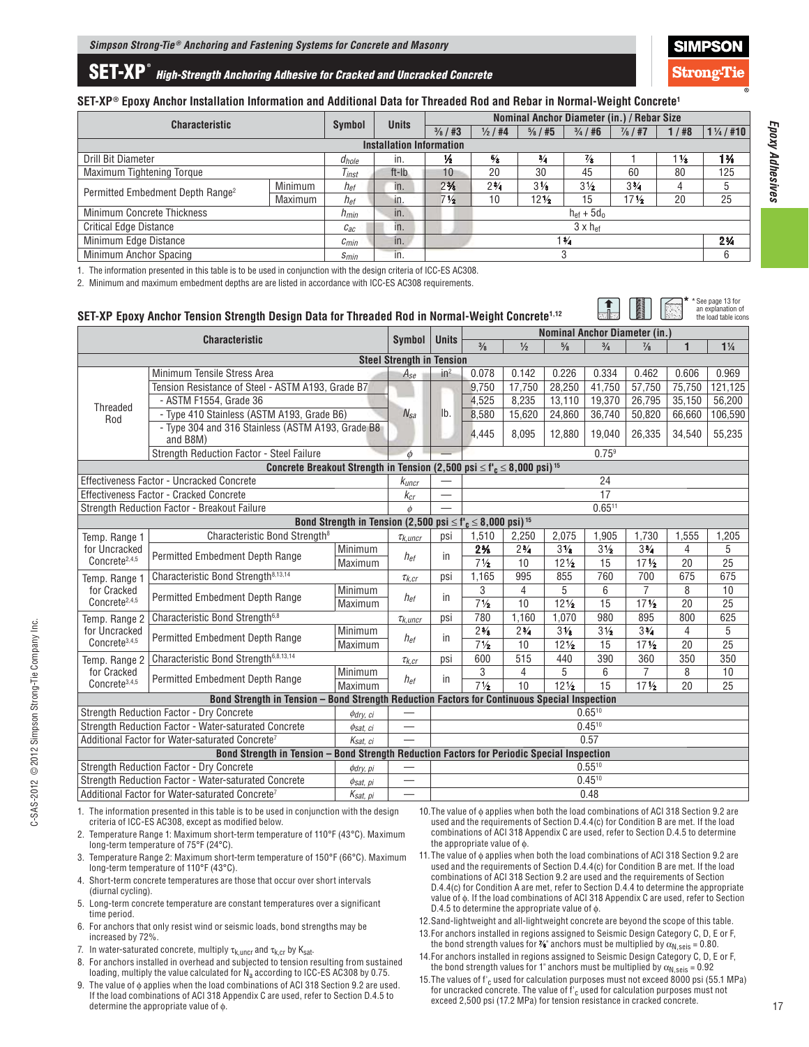

# **SET-XP ®** *High-Strength Anchoring Adhesive for Cracked and Uncracked Concrete*

#### **SET-XP® Epoxy Anchor Installation Information and Additional Data for Threaded Rod and Rebar in Normal-Weight Concrete1**

| <b>Characteristic</b>                                   |           | Symbol       |                                 |                          | Nominal Anchor Diameter (in.) / Rebar Size<br><b>Units</b> |                 |                      |                 |                |                |  |  |
|---------------------------------------------------------|-----------|--------------|---------------------------------|--------------------------|------------------------------------------------------------|-----------------|----------------------|-----------------|----------------|----------------|--|--|
|                                                         |           |              |                                 | $\frac{3}{8}$ / #3       | $\frac{1}{2}$ / #4                                         | 1/18            | $1\frac{1}{4}$ / #10 |                 |                |                |  |  |
|                                                         |           |              | <b>Installation Information</b> |                          |                                                            |                 |                      |                 |                |                |  |  |
| Drill Bit Diameter                                      |           | $d_{hole}$   | in.                             | ⅛                        | $\frac{5}{8}$                                              | $\frac{3}{4}$   | $\frac{7}{8}$        |                 | $1\frac{1}{8}$ | $1\frac{3}{8}$ |  |  |
| Maximum Tightening Torque                               |           | Tinst        | ft-Ib                           | 10                       | 20                                                         | 30              | 45                   | 60              | 80             | 125            |  |  |
| Minimum<br>Permitted Embedment Depth Range <sup>2</sup> |           | $h_{ef}$     | in.                             | $2\frac{3}{8}$           | $2\frac{3}{4}$                                             | $3\frac{1}{8}$  | $3\frac{1}{2}$       | $3\frac{3}{4}$  |                | 5              |  |  |
|                                                         | Maximum   | $h_{e f}$    | in.                             | $7\frac{1}{2}$           | 10                                                         | $12\frac{1}{2}$ | 15                   | $17\frac{1}{2}$ | 20             | 25             |  |  |
| <b>Minimum Concrete Thickness</b>                       |           | <b>h</b> min | in.                             | $h_{\text{ef}} + 5d_0$   |                                                            |                 |                      |                 |                |                |  |  |
| <b>Critical Edge Distance</b>                           |           | $c_{ac}$     | in.                             | $3 \times h_{\text{ef}}$ |                                                            |                 |                      |                 |                |                |  |  |
| Minimum Edge Distance                                   | $c_{min}$ | in.          | $1\frac{3}{4}$                  |                          |                                                            |                 |                      |                 | $2\frac{3}{4}$ |                |  |  |
| Minimum Anchor Spacing                                  |           | $S_{min}$    | in.                             |                          |                                                            | 3               |                      |                 |                | 6              |  |  |

1. The information presented in this table is to be used in conjunction with the design criteria of ICC-ES AC308.

2. Minimum and maximum embedment depths are are listed in accordance with ICC-ES AC308 requirements.

#### **SET-XP Epoxy Anchor Tension Strength Design Data for Threaded Rod in Normal-Weight Concrete1,12 Characteristic** Symbol Units  $\begin{array}{|l|c|c|c|c|c|}\n\hline\n\text{Symbol} & \text{Units} & \text{Nominal Another Diameter (in.)}\n\hline\n\end{array}$  $\frac{3}{8}$  $\frac{1}{2}$ **⁄8 3 ⁄4 7 ⁄8 1 1 1 ⁄4 Steel Strength in Tension** Threaded Rod Minimum Tensile Stress Area  $A_{\text{se}}$  and  $A_{\text{se}}$  and  $0.078$  0.078 0.142 | 0.226 | 0.334 | 0.462 | 0.606 | 0.969 Tension Resistance of Steel - ASTM A193, Grade B7  $N_{sa}$  | lb. 9,750 17,750 28,250 41,750 57,750 75,750 121,125 - ASTM F1554, Grade 36 4,525 13,110 | 4,525 | 8,235 | 13,110 | 19,370 | 26,795 | 35,150 | 56,200 - Type 410 Stainless (ASTM A193, Grade B6) 8,580 15,620 24,860 36,740 50,820 66,660 106,590 - Type 304 and 316 Stainless (ASTM A193, Grade B8 and B8M) **and B8M**) **and B8M** Strength Reduction Factor - Steel Failure  $\phi$   $\Box$ **Concrete Breakout Strength in Tension (2,500 psi**  $\leq$  **f'<sub>c</sub>**  $\leq$  **8,000 psi)<sup>15</sup>** Effectiveness Factor - Uncracked Concrete kuncr — 24 Effectiveness Factor - Cracked Concrete kcr — 17 Strength Reduction Factor - Breakout Failure  $\phi$   $\phi$   $\phi$   $\phi$   $\phi$  = 0.6511 **Bond Strength in Tension (2,500 psi**  $\leq$  **f'<sub>c</sub>**  $\leq$  **8,000 psi**)<sup>15</sup><br>Strength<sup>8</sup>  $\frac{1}{\kappa_{kunc}}$  psi 1,510 2,250 Temp. Range 1 for Uncracked Concrete<sup>2,4,5</sup> Characteristic Bond Strength<sup>8</sup>  $\tau_{k,unc}$  psi 1,510 2,250 2,075 1,905 1,730 1,555 1,205 Permitted Embedment Depth Range  $\begin{array}{|c|c|c|}\n\hline \text{Minimum} & h_{\text{ef}} & \text{in} & \frac{2\%}{7\frac{1}{2}}\n\end{array}$  $2\frac{3}{4}$  $3\frac{1}{8}$  $3\frac{1}{2}$  $3\frac{3}{4}$ ⁄4 4 5 **Maximum**  $10$  12  $\frac{1}{2}$  $15$  17 $\frac{1}{2}$ ⁄2 20 25 Temp. Range 1 for Cracked Concrete<sup>2,4,5</sup> Characteristic Bond Strength<sup>8,13,14</sup>  $\tau_{k,cr}$  psi 1,165 995 855 760 700 675 675 Permitted Embedment Depth Range Minimum hef in 3 4 5 6 7 8 10 **Maximum**  $12\frac{1}{2}$  $17\frac{1}{2}$  $\overline{20}$ Temp. Range 2 for Uncracked Concrete<sup>3,4,5</sup> Characteristic Bond Strength<sup>6,8</sup>  $\tau_{K,uncr}$  psi 780 1,160 1,070 980 895 800 625 Permitted Embedment Depth Range  $\begin{array}{|c|c|c|c|}\n\hline \text{Minimum} & h_{\text{ef}} & \text{in} & \frac{2\%}{7\%} \\
\hline \text{Maximum} & \text{A} & \text{A} & \text{B} & \frac{2\%}{7\%} \\
\hline \end{array}$  $2\frac{3}{4}$  $3\frac{1}{8}$  $3\frac{1}{2}$  $3\frac{3}{4}$ ⁄4 4 5 **Maximum**  $10$  12  $\frac{1}{2}$  $15$  17 $\frac{1}{2}$  $20$  25 Temp. Range 2 for Cracked Concrete<sup>3,4,5</sup> Characteristic Bond Strength<sup>6,8,13,14</sup>  $\tau_{k,cr}$  psi 600 515 440 390 360 350 350 Permitted Embedment Depth Range Minimum hef in 3 4 5 6 7 8 10 **Maximum**  $12\frac{1}{2}$  $17\frac{1}{2}$  $\overline{25}$ **Bond Strength in Tension – Bond Strength Reduction Factors for Continuous Special Inspection** Strength Reduction Factor - Dry Concrete  $\phi_{dry, ci}$   $\left| \begin{array}{ccc} \text{ } & \text{ } \\ \text{ } & \text{ } \end{array} \right|$   $\left| \begin{array}{ccc} \text{ } & \text{ } \\ \text{ } & \text{ } \end{array} \right|$ Strength Reduction Factor - Water-saturated Concrete  $\phi_{sat, ci}$   $\Box$ Additional Factor for Water-saturated Concrete<sup>7</sup>  $K_{sat, ci}$   $\rightarrow$  0.57 **Bond Strength in Tension – Bond Strength Reduction Factors for Periodic Special Inspection** Strength Reduction Factor - Dry Concrete  $0.55^{10}$   $\phi_{dry, pi}$   $\rightarrow$  0.55<sup>10</sup> Strength Reduction Factor - Water-saturated Concrete  $0.45^{10}$   $\phi_{sat,pi}$   $\phi_{t}$   $\phi_{t}$ Additional Factor for Water-saturated Concrete<sup>7</sup>  $K_{sat,~pj}$   $\rightarrow$  0.48 See page 13 for an explanation of the load table icons **\***

1. The information presented in this table is to be used in conjunction with the design criteria of ICC-ES AC308, except as modified below.

- 2. Temperature Range 1: Maximum short-term temperature of 110°F (43°C). Maximum long-term temperature of 75°F (24°C).
- 3. Temperature Range 2: Maximum short-term temperature of 150°F (66°C). Maximum long-term temperature of 110°F (43°C).
- 4. Short-term concrete temperatures are those that occur over short intervals (diurnal cycling).
- 5. Long-term concrete temperature are constant temperatures over a significant time period.
- 6. For anchors that only resist wind or seismic loads, bond strengths may be increased by 72%.
- 7. In water-saturated concrete, multiply  $\tau_{k,\text{uncr}}$  and  $\tau_{k,\text{cr}}$  by  $K_{\text{sat}}$ .
- 8. For anchors installed in overhead and subjected to tension resulting from sustained loading, multiply the value calculated for  $\dot{N}_a$  according to ICC-ES AC308 by 0.75.
- 9. The value of  $\phi$  applies when the load combinations of ACI 318 Section 9.2 are used. If the load combinations of ACI 318 Appendix C are used, refer to Section D.4.5 to determine the appropriate value of ϕ.
- 10. The value of ϕ applies when both the load combinations of ACI 318 Section 9.2 are used and the requirements of Section D.4.4(c) for Condition B are met. If the load combinations of ACI 318 Appendix C are used, refer to Section D.4.5 to determine the appropriate value of ϕ.
- 11. The value of ϕ applies when both the load combinations of ACI 318 Section 9.2 are used and the requirements of Section D.4.4(c) for Condition B are met. If the load combinations of ACI 318 Section 9.2 are used and the requirements of Section D.4.4(c) for Condition A are met, refer to Section D.4.4 to determine the appropriate value of ϕ. If the load combinations of ACI 318 Appendix C are used, refer to Section D.4.5 to determine the appropriate value of ϕ.
- 12. Sand-lightweight and all-lightweight concrete are beyond the scope of this table.
- 13. For anchors installed in regions assigned to Seismic Design Category C, D, E or F,
- the bond strength values for  $\%$  anchors must be multiplied by  $\alpha_\mathsf{N,seis}$  = 0.80. 14. For anchors installed in regions assigned to Seismic Design Category C, D, E or F, the bond strength values for 1" anchors must be multiplied by  $\alpha_{N,seis} = 0.92$
- 15. The values of  $f'_{c}$  used for calculation purposes must not exceed 8000 psi (55.1 MPa) for uncracked concrete. The value of f'<sub>c</sub> used for calculation purposes must not exceed 2,500 psi (17.2 MPa) for tension resistance in cracked concrete.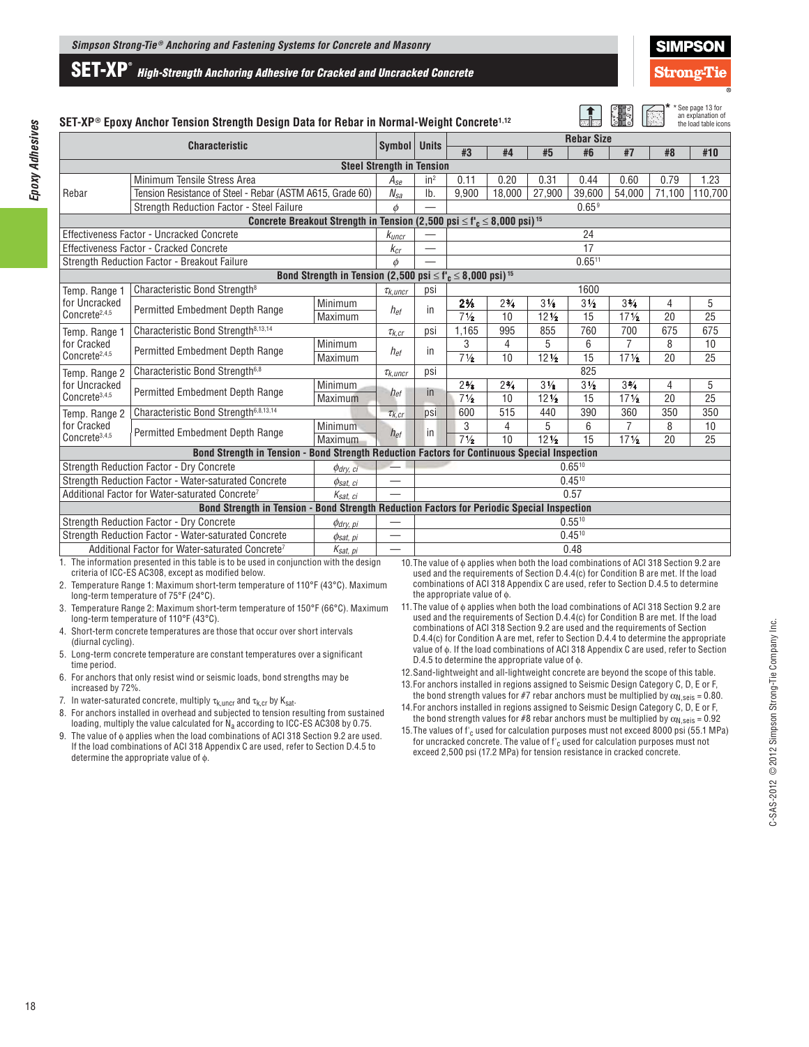



|                                                                          | SET-XP® Epoxy Anchor Tension Strength Design Data for Rebar in Normal-Weight Concrete <sup>1,12</sup> |                                                                                                         |                                  |                                                                                            |                |                |                 |                   |                                                                                         |        | * See page 13 for<br>an explanation of<br>the load table icons |
|--------------------------------------------------------------------------|-------------------------------------------------------------------------------------------------------|---------------------------------------------------------------------------------------------------------|----------------------------------|--------------------------------------------------------------------------------------------|----------------|----------------|-----------------|-------------------|-----------------------------------------------------------------------------------------|--------|----------------------------------------------------------------|
|                                                                          |                                                                                                       | Symbol   Units                                                                                          |                                  | <b>Rebar Size</b>                                                                          |                |                |                 |                   |                                                                                         |        |                                                                |
|                                                                          | <b>Characteristic</b>                                                                                 |                                                                                                         |                                  |                                                                                            | #3             | #4             | #5              | #6                | #7                                                                                      | #8     | #10                                                            |
|                                                                          |                                                                                                       |                                                                                                         | <b>Steel Strength in Tension</b> |                                                                                            |                |                |                 |                   |                                                                                         |        |                                                                |
|                                                                          | Minimum Tensile Stress Area                                                                           |                                                                                                         | $A_{Se}$                         | $in^2$                                                                                     | 0.11           | 0.20           | 0.31            | 0.44              | 0.60                                                                                    | 0.79   | 1.23                                                           |
| Rebar                                                                    | Tension Resistance of Steel - Rebar (ASTM A615, Grade 60)                                             |                                                                                                         | $N_{sa}$                         | Ib.                                                                                        | 9.900          | 18.000         | 27.900          | 39,600            | 54.000                                                                                  | 71.100 | 110,700                                                        |
|                                                                          | Strength Reduction Factor - Steel Failure                                                             |                                                                                                         | $\phi$                           |                                                                                            |                |                |                 | 0.65 <sup>9</sup> |                                                                                         |        |                                                                |
|                                                                          |                                                                                                       | Concrete Breakout Strength in Tension (2,500 psi $\leq$ f' <sub>c</sub> $\leq$ 8,000 psi) <sup>15</sup> |                                  |                                                                                            |                |                |                 |                   |                                                                                         |        |                                                                |
|                                                                          | Effectiveness Factor - Uncracked Concrete                                                             |                                                                                                         | $k_{\text{uncr}}$                |                                                                                            |                |                |                 | 24                |                                                                                         |        |                                                                |
|                                                                          | Effectiveness Factor - Cracked Concrete                                                               |                                                                                                         | $k_{cr}$                         |                                                                                            |                |                |                 | 17                |                                                                                         |        |                                                                |
|                                                                          | Strength Reduction Factor - Breakout Failure                                                          |                                                                                                         | $\phi$                           |                                                                                            |                |                |                 | 0.6511            |                                                                                         |        |                                                                |
|                                                                          |                                                                                                       | Bond Strength in Tension (2,500 psi $\leq$ f' <sub>c</sub> $\leq$ 8,000 psi) <sup>15</sup>              |                                  |                                                                                            |                |                |                 |                   |                                                                                         |        |                                                                |
| Temp. Range 1                                                            | Characteristic Bond Strength <sup>8</sup>                                                             |                                                                                                         | $\tau_{k, uncr}$                 | psi                                                                                        |                |                |                 | 1600              |                                                                                         |        |                                                                |
| for Uncracked                                                            | Permitted Embedment Depth Range                                                                       | Minimum                                                                                                 | $h_{ef}$                         | in                                                                                         | $2\frac{3}{8}$ | $2\frac{3}{4}$ | $3\frac{1}{8}$  | $3\frac{1}{2}$    | $3\frac{3}{4}$                                                                          | 4      | 5                                                              |
| Concrete <sup>2,4,5</sup>                                                |                                                                                                       | Maximum                                                                                                 |                                  |                                                                                            | $7\frac{1}{2}$ | 10             | $12\frac{1}{2}$ | 15                | 17 <sub>2</sub>                                                                         | 20     | 25                                                             |
| Temp. Range 1                                                            | Characteristic Bond Strength <sup>8,13,14</sup>                                                       |                                                                                                         | $\tau_{k,cr}$                    | psi                                                                                        | 1.165          | 995            | 855             | 760               | 700                                                                                     | 675    | 675                                                            |
| for Cracked                                                              | Permitted Embedment Depth Range                                                                       | Minimum                                                                                                 | $h_{ef}$                         | in                                                                                         | 3              | 4              | 5               | 6                 | 7                                                                                       | 8      | 10                                                             |
| Concrete <sup>2,4,5</sup>                                                |                                                                                                       | Maximum                                                                                                 |                                  |                                                                                            | $7\frac{1}{2}$ | 10             | $12\frac{1}{2}$ | 15                | 17 <sup>1</sup> / <sub>2</sub>                                                          | 20     | 25                                                             |
| Temp. Range 2                                                            | Characteristic Bond Strength <sup>6,8</sup>                                                           |                                                                                                         | $\tau_{k, uncr}$                 | psi                                                                                        | 825            |                |                 |                   |                                                                                         |        |                                                                |
| for Uncracked                                                            | Permitted Embedment Depth Range                                                                       | Minimum                                                                                                 | $h_{ef}$                         | in                                                                                         | $2\frac{3}{8}$ | $2\frac{3}{4}$ | $3\frac{1}{8}$  | $3\frac{1}{2}$    | $3\frac{3}{4}$                                                                          | 4      | 5                                                              |
| Concrete <sup>3,4,5</sup>                                                |                                                                                                       | Maximum                                                                                                 |                                  |                                                                                            | $7\frac{1}{2}$ | 10             | $12\frac{1}{2}$ | 15                | 17 <sub>2</sub>                                                                         | 20     | 25                                                             |
| Temp. Range 2                                                            | Characteristic Bond Strength <sup>6,8,13,14</sup>                                                     |                                                                                                         | $\tau_{k,cr}$                    | psi                                                                                        | 600            | 515            | 440             | 390               | 360                                                                                     | 350    | 350                                                            |
| for Cracked                                                              | Permitted Embedment Depth Range                                                                       | Minimum                                                                                                 |                                  | in                                                                                         | 3              | 4              | 5               | 6                 | 7                                                                                       | 8      | 10                                                             |
| Concrete <sup>3,4,5</sup>                                                |                                                                                                       | Maximum                                                                                                 | $h_{ef}$                         |                                                                                            | $7\frac{1}{2}$ | 10             | $12\frac{1}{2}$ | 15                | 17 <sub>2</sub>                                                                         | 20     | 25                                                             |
|                                                                          | Bond Strength in Tension - Bond Strength Reduction Factors for Continuous Special Inspection          |                                                                                                         |                                  |                                                                                            |                |                |                 |                   |                                                                                         |        |                                                                |
|                                                                          | Strength Reduction Factor - Dry Concrete                                                              | $\phi$ dry, ci                                                                                          |                                  |                                                                                            |                |                |                 | $0.65^{10}$       |                                                                                         |        |                                                                |
| Strength Reduction Factor - Water-saturated Concrete<br>$\phi_{sat, ci}$ |                                                                                                       |                                                                                                         |                                  |                                                                                            |                |                |                 | $0.45^{10}$       |                                                                                         |        |                                                                |
| Additional Factor for Water-saturated Concrete <sup>7</sup>              |                                                                                                       |                                                                                                         |                                  |                                                                                            |                | 0.57           |                 |                   |                                                                                         |        |                                                                |
|                                                                          |                                                                                                       |                                                                                                         |                                  | Bond Strength in Tension - Bond Strength Reduction Factors for Periodic Special Inspection |                |                |                 |                   |                                                                                         |        |                                                                |
|                                                                          | Strength Reduction Factor - Dry Concrete                                                              | $\phi$ dry, pi                                                                                          |                                  |                                                                                            |                |                |                 | $0.55^{10}$       |                                                                                         |        |                                                                |
|                                                                          | Strength Reduction Factor - Water-saturated Concrete                                                  | $\phi_{\text{sat, pi}}$                                                                                 | $\overbrace{\phantom{12322111}}$ |                                                                                            |                |                |                 | $0.45^{10}$       |                                                                                         |        |                                                                |
|                                                                          | Additional Factor for Water-saturated Concrete <sup>7</sup>                                           | Ksat, pi                                                                                                | $\overline{\phantom{0}}$         |                                                                                            |                |                |                 | 0.48              |                                                                                         |        |                                                                |
|                                                                          | 1. The information presented in this table is to be used in conjunction with the design               |                                                                                                         |                                  |                                                                                            |                |                |                 |                   | 10 The value of $\phi$ annies when both the load combinations of ACL318 Section 0.2 are |        |                                                                |

1. The information presented in this table is to be used in conjunction with the design criteria of ICC-ES AC308, except as modified below.

2. Temperature Range 1: Maximum short-term temperature of 110°F (43°C). Maximum long-term temperature of 75°F (24°C).

3. Temperature Range 2: Maximum short-term temperature of 150°F (66°C). Maximum long-term temperature of 110°F (43°C).

- 4. Short-term concrete temperatures are those that occur over short intervals (diurnal cycling).
- 5. Long-term concrete temperature are constant temperatures over a significant time period.
- 6. For anchors that only resist wind or seismic loads, bond strengths may be increased by 72%.
- 7. In water-saturated concrete, multiply  $\tau_{k, \text{unc}}$  and  $\tau_{k, \text{cr}}$  by  $K_{\text{sat}}$ .
- 8. For anchors installed in overhead and subjected to tension resulting from sustained loading, multiply the value calculated for  $\dot{N}_a$  according to ICC-ES AC308 by 0.75.
- 9. The value of φ applies when the load combinations of ACI 318 Section 9.2 are used. If the load combinations of ACI 318 Appendix C are used, refer to Section D.4.5 to determine the appropriate value of ϕ.
- 10. The value of ϕ applies when both the load combinations of ACI 318 Section 9.2 are used and the requirements of Section D.4.4(c) for Condition B are met. If the load combinations of ACI 318 Appendix C are used, refer to Section D.4.5 to determine the appropriate value of ϕ.
- 11. The value of ϕ applies when both the load combinations of ACI 318 Section 9.2 are used and the requirements of Section D.4.4(c) for Condition B are met. If the load combinations of ACI 318 Section 9.2 are used and the requirements of Section D.4.4(c) for Condition A are met, refer to Section D.4.4 to determine the appropriate value of ϕ. If the load combinations of ACI 318 Appendix C are used, refer to Section D.4.5 to determine the appropriate value of ϕ.
- 12. Sand-lightweight and all-lightweight concrete are beyond the scope of this table.
- 13. For anchors installed in regions assigned to Seismic Design Category C, D, E or F,
- the bond strength values for #7 rebar anchors must be multiplied by  $\alpha_{N,seis} = 0.80$ . 14. For anchors installed in regions assigned to Seismic Design Category C, D, E or F,
- the bond strength values for #8 rebar anchors must be multiplied by  $\alpha_{N,seis} = 0.92$ 15. The values of  $f'_{c}$  used for calculation purposes must not exceed 8000 psi (55.1 MPa)
- for uncracked concrete. The value of f'<sub>c</sub> used for calculation purposes must not exceed 2,500 psi (17.2 MPa) for tension resistance in cracked concrete.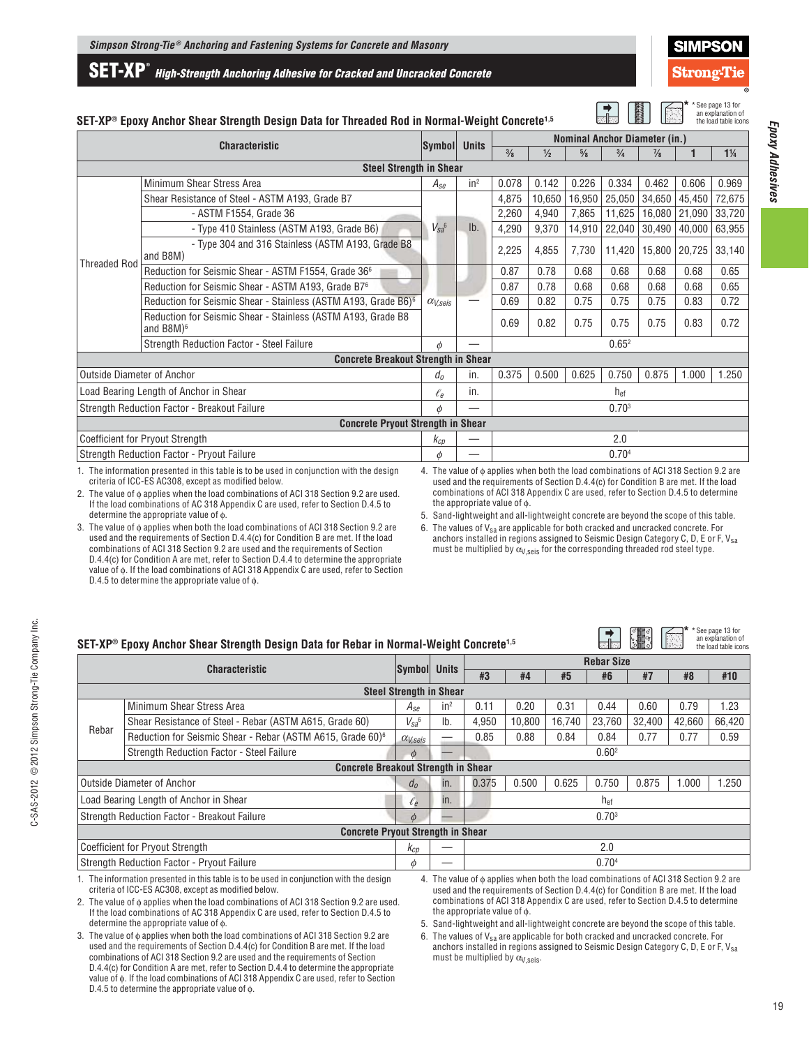**SET-XP®** *High-Strength Anchoring Adhesive for Cracked and Uncracked Concrete*

 $\blacksquare$ 

**\***

See page 13 for

\*See page 13 for

**\***

 $\Box$  :  $\mathbb{R}$ 

## **SET-XP® Epoxy Anchor Shear Strength Design Data for Threaded Rod in Normal-Weight Concrete1,5**

| KN<br><b>BEERED</b><br>SET-XP® Epoxy Anchor Shear Strength Design Data for Threaded Rod in Normal-Weight Concrete <sup>1,5</sup> |                                                                                          |                   |              |                                      |        |               | an explanation of<br>the load table icons |               |        |                |
|----------------------------------------------------------------------------------------------------------------------------------|------------------------------------------------------------------------------------------|-------------------|--------------|--------------------------------------|--------|---------------|-------------------------------------------|---------------|--------|----------------|
|                                                                                                                                  | <b>Characteristic</b>                                                                    | Symbol            | <b>Units</b> | <b>Nominal Anchor Diameter (in.)</b> |        |               |                                           |               |        |                |
|                                                                                                                                  |                                                                                          |                   |              | $\frac{3}{8}$                        | 1/2    | $\frac{5}{8}$ | $\frac{3}{4}$                             | $\frac{7}{8}$ | 1      | $1\frac{1}{4}$ |
|                                                                                                                                  | <b>Steel Strength in Shear</b>                                                           |                   |              |                                      |        |               |                                           |               |        |                |
|                                                                                                                                  | Minimum Shear Stress Area                                                                | $A_{Se}$          | $in^2$       | 0.078                                | 0.142  | 0.226         | 0.334                                     | 0.462         | 0.606  | 0.969          |
|                                                                                                                                  | Shear Resistance of Steel - ASTM A193, Grade B7                                          |                   |              | 4,875                                | 10,650 | 16,950        | 25,050                                    | 34,650        | 45,450 | 72,675         |
|                                                                                                                                  | - ASTM F1554, Grade 36                                                                   |                   |              | 2,260                                | 4,940  | 7,865         | 11,625                                    | 16,080        | 21,090 | 33,720         |
|                                                                                                                                  | - Type 410 Stainless (ASTM A193, Grade B6)                                               | $V_{Sa}^6$        | lb.          | 4,290                                | 9,370  | 14,910        | 22,040                                    | 30,490        | 40,000 | 63,955         |
| <b>Threaded Rod</b>                                                                                                              | - Type 304 and 316 Stainless (ASTM A193, Grade B8<br>and B8M)                            |                   |              | 2,225                                | 4,855  | 7,730         | 11,420                                    | 15,800        | 20,725 | 33,140         |
|                                                                                                                                  | Reduction for Seismic Shear - ASTM F1554, Grade 36 <sup>6</sup>                          | $\alpha_{V,seis}$ |              | 0.87                                 | 0.78   | 0.68          | 0.68                                      | 0.68          | 0.68   | 0.65           |
|                                                                                                                                  | Reduction for Seismic Shear - ASTM A193, Grade B76                                       |                   |              | 0.87<br>0.69                         | 0.78   | 0.68          | 0.68                                      | 0.68          | 0.68   | 0.65           |
|                                                                                                                                  | Reduction for Seismic Shear - Stainless (ASTM A193, Grade B6) <sup>6</sup>               |                   |              |                                      | 0.82   | 0.75          | 0.75                                      | 0.75          | 0.83   | 0.72           |
|                                                                                                                                  | Reduction for Seismic Shear - Stainless (ASTM A193, Grade B8<br>and B8M $)$ <sup>6</sup> |                   |              | 0.69                                 | 0.82   | 0.75          | 0.75                                      | 0.75          | 0.83   | 0.72           |
|                                                                                                                                  | Strength Reduction Factor - Steel Failure                                                | $\phi$            |              | 0.65 <sup>2</sup>                    |        |               |                                           |               |        |                |
|                                                                                                                                  | <b>Concrete Breakout Strength in Shear</b>                                               |                   |              |                                      |        |               |                                           |               |        |                |
| <b>Outside Diameter of Anchor</b>                                                                                                |                                                                                          | $d_{0}$           | in.          | 0.375                                | 0.500  | 0.625         | 0.750                                     | 0.875         | 1.000  | 1.250          |
|                                                                                                                                  | Load Bearing Length of Anchor in Shear                                                   | $\ell_e$          | in.          |                                      |        |               | h <sub>ef</sub>                           |               |        |                |
| Strength Reduction Factor - Breakout Failure                                                                                     |                                                                                          |                   |              |                                      |        |               | 0.70 <sup>3</sup>                         |               |        |                |
|                                                                                                                                  | <b>Concrete Pryout Strength in Shear</b>                                                 |                   |              |                                      |        |               |                                           |               |        |                |
|                                                                                                                                  | <b>Coefficient for Pryout Strength</b>                                                   | $k_{cp}$          |              |                                      |        |               | 2.0                                       |               |        |                |
|                                                                                                                                  | <b>Strength Reduction Factor - Pryout Failure</b>                                        | $\phi$            |              |                                      |        |               | 0.704                                     |               |        |                |
|                                                                                                                                  |                                                                                          |                   |              |                                      |        |               |                                           |               |        |                |

1. The information presented in this table is to be used in conjunction with the design criteria of ICC-ES AC308, except as modified below.

2. The value of ϕ applies when the load combinations of ACI 318 Section 9.2 are used. If the load combinations of AC 318 Appendix C are used, refer to Section D.4.5 to determine the appropriate value of ϕ.

3. The value of ϕ applies when both the load combinations of ACI 318 Section 9.2 are used and the requirements of Section D.4.4(c) for Condition B are met. If the load combinations of ACI 318 Section 9.2 are used and the requirements of Section D.4.4(c) for Condition A are met, refer to Section D.4.4 to determine the appropriate value of ϕ. If the load combinations of ACI 318 Appendix C are used, refer to Section D.4.5 to determine the appropriate value of ϕ.

4. The value of ϕ applies when both the load combinations of ACI 318 Section 9.2 are used and the requirements of Section D.4.4(c) for Condition B are met. If the load combinations of ACI 318 Appendix C are used, refer to Section D.4.5 to determine the appropriate value of ϕ.

5. Sand-lightweight and all-lightweight concrete are beyond the scope of this table.

6. The values of  $V_{sa}$  are applicable for both cracked and uncracked concrete. For anchors installed in regions assigned to Seismic Design Category C, D, E or F, Vsa must be multiplied by  $\alpha_{V,\text{seis}}$  for the corresponding threaded rod steel type.

## **SET-XP® Epoxy Anchor Shear Strength Design Data for Rebar in Normal-Weight Concrete1,5**

| $\mathsf{SET}\text{-}\mathsf{XP}^\circledast$ Epoxy Anchor Shear Strength Design Data for Rebar in Normal-Weight Concrete <sup>1,5</sup> |                                                                                                                                               |                       |                 |                   |        |        |                   | $\mathbb{R}^3$ | H.                                                                                                                                                                                        | an explanation of<br>the load table icons |
|------------------------------------------------------------------------------------------------------------------------------------------|-----------------------------------------------------------------------------------------------------------------------------------------------|-----------------------|-----------------|-------------------|--------|--------|-------------------|----------------|-------------------------------------------------------------------------------------------------------------------------------------------------------------------------------------------|-------------------------------------------|
|                                                                                                                                          | <b>Characteristic</b>                                                                                                                         | Symbol Units          |                 | <b>Rebar Size</b> |        |        |                   |                |                                                                                                                                                                                           |                                           |
|                                                                                                                                          |                                                                                                                                               |                       |                 | #3                | #4     | #5     | #6                | #7             | #8                                                                                                                                                                                        | #10                                       |
| <b>Steel Strength in Shear</b>                                                                                                           |                                                                                                                                               |                       |                 |                   |        |        |                   |                |                                                                                                                                                                                           |                                           |
|                                                                                                                                          | Minimum Shear Stress Area                                                                                                                     | $A_{Se}$              | in <sup>2</sup> | 0.11              | 0.20   | 0.31   | 0.44              | 0.60           | 0.79                                                                                                                                                                                      | 1.23                                      |
|                                                                                                                                          | Shear Resistance of Steel - Rebar (ASTM A615, Grade 60)                                                                                       | $V_{sa}$ <sup>6</sup> | Ib.             | 4,950             | 10.800 | 16.740 | 23.760            | 32,400         | 42.660                                                                                                                                                                                    | 66,420                                    |
| Rebar                                                                                                                                    | Reduction for Seismic Shear - Rebar (ASTM A615, Grade 60) <sup>6</sup>                                                                        | $\alpha_{V,seis}$     |                 | 0.85              | 0.88   | 0.84   | 0.84              | 0.77           | 0.77                                                                                                                                                                                      | 0.59                                      |
|                                                                                                                                          | Strength Reduction Factor - Steel Failure                                                                                                     | $\phi$                |                 |                   |        |        | 0.60 <sup>2</sup> |                |                                                                                                                                                                                           |                                           |
|                                                                                                                                          | <b>Concrete Breakout Strength in Shear</b>                                                                                                    |                       |                 |                   |        |        |                   |                |                                                                                                                                                                                           |                                           |
|                                                                                                                                          | <b>Outside Diameter of Anchor</b>                                                                                                             | d <sub>0</sub>        | In.             | 0.375             | 0.500  | 0.625  | 0.750             | 0.875          | 1.000                                                                                                                                                                                     | 1.250                                     |
|                                                                                                                                          | Load Bearing Length of Anchor in Shear                                                                                                        | $\ell_e$              | in.             |                   |        |        | h <sub>ef</sub>   |                |                                                                                                                                                                                           |                                           |
|                                                                                                                                          | Strength Reduction Factor - Breakout Failure                                                                                                  | $\phi$                |                 | 0.70 <sup>3</sup> |        |        |                   |                |                                                                                                                                                                                           |                                           |
|                                                                                                                                          | <b>Concrete Pryout Strength in Shear</b>                                                                                                      |                       |                 |                   |        |        |                   |                |                                                                                                                                                                                           |                                           |
|                                                                                                                                          | <b>Coefficient for Pryout Strength</b>                                                                                                        | Kcp                   |                 |                   |        |        | 2.0               |                |                                                                                                                                                                                           |                                           |
|                                                                                                                                          | Strength Reduction Factor - Pryout Failure<br>0.70 <sup>4</sup><br>Ø                                                                          |                       |                 |                   |        |        |                   |                |                                                                                                                                                                                           |                                           |
|                                                                                                                                          | 1. The information presented in this table is to be used in conjunction with the design<br>exiteria of ICC EC AC200, expant as modified below |                       |                 |                   |        |        |                   |                | 4. The value of $\phi$ applies when both the load combinations of ACI 318 Section 9.2 are<br>used and the requirements of Castian $D \wedge A$ (e) for Candition $D$ are mot. If the lead |                                           |

criteria of ICC-ES AC308, except as modified below.

2. The value of  $φ$  applies when the load combinations of ACI 318 Section 9.2 are used. If the load combinations of AC 318 Appendix C are used, refer to Section D.4.5 to determine the appropriate value of ϕ.

3. The value of  $\phi$  applies when both the load combinations of ACI 318 Section 9.2 are used and the requirements of Section D.4.4(c) for Condition B are met. If the load combinations of ACI 318 Section 9.2 are used and the requirements of Section D.4.4(c) for Condition A are met, refer to Section D.4.4 to determine the appropriate value of ϕ. If the load combinations of ACI 318 Appendix C are used, refer to Section D.4.5 to determine the appropriate value of ϕ.

used and the requirements of Section D.4.4(c) for Condition B are met. If the load combinations of ACI 318 Appendix C are used, refer to Section D.4.5 to determine the appropriate value of ϕ.

5. Sand-lightweight and all-lightweight concrete are beyond the scope of this table.

6. The values of  $\mathsf{V}_{\text{sa}}$  are applicable for both cracked and uncracked concrete. For anchors installed in regions assigned to Seismic Design Category C, D, E or F, V $_{\rm sa}$ must be multiplied by  $\alpha_{V,\text{seis}}$ .